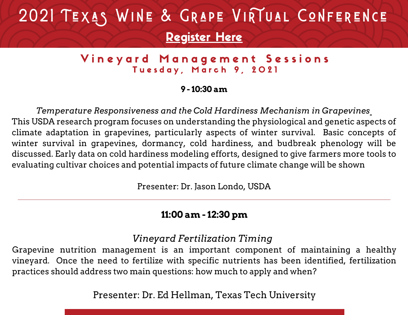# 2021 TEXAS WINE & GRAPE VIRTUAL CONFERENCE [Register](https://twgga.memberclicks.net/2021virtualforum#/) Here

# Vineyard Management Sessions Tuesday, March 9, 2021

### **9 - 10:30 am**

*Temperature Responsiveness and the Cold Hardiness Mechanism in Grapevines* This USDA research program focuses on understanding the physiological and genetic aspects of climate adaptation in grapevines, particularly aspects of winter survival. Basic concepts of winter survival in grapevines, dormancy, cold hardiness, and budbreak phenology will be discussed. Early data on cold hardiness modeling efforts, designed to give farmers more tools to evaluating cultivar choices and potential impacts of future climate change will be shown

Presenter: Dr. Jason Londo, USDA

# **11:00 am - 12:30 pm**

# *Vineyard Fertilization Timing*

Grapevine nutrition management is an important component of maintaining a healthy vineyard. Once the need to fertilize with specific nutrients has been identified, fertilization practices should address two main questions: how much to apply and when?

Presenter: Dr. Ed Hellman, Texas Tech University